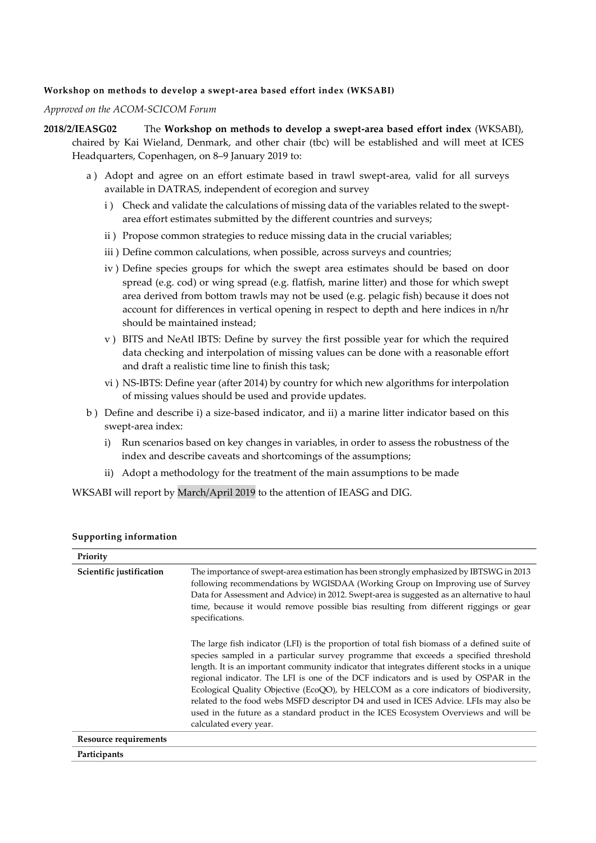## **Workshop on methods to develop a swept-area based effort index (WKSABI)**

*Approved on the ACOM-SCICOM Forum*

- **2018/2/IEASG02** The **Workshop on methods to develop a swept-area based effort index** (WKSABI), chaired by Kai Wieland, Denmark, and other chair (tbc) will be established and will meet at ICES Headquarters, Copenhagen, on 8–9 January 2019 to:
	- a ) Adopt and agree on an effort estimate based in trawl swept-area, valid for all surveys available in DATRAS, independent of ecoregion and survey
		- i ) Check and validate the calculations of missing data of the variables related to the sweptarea effort estimates submitted by the different countries and surveys;
		- ii ) Propose common strategies to reduce missing data in the crucial variables;
		- iii ) Define common calculations, when possible, across surveys and countries;
		- iv ) Define species groups for which the swept area estimates should be based on door spread (e.g. cod) or wing spread (e.g. flatfish, marine litter) and those for which swept area derived from bottom trawls may not be used (e.g. pelagic fish) because it does not account for differences in vertical opening in respect to depth and here indices in n/hr should be maintained instead;
		- v ) BITS and NeAtl IBTS: Define by survey the first possible year for which the required data checking and interpolation of missing values can be done with a reasonable effort and draft a realistic time line to finish this task;
		- vi ) NS-IBTS: Define year (after 2014) by country for which new algorithms for interpolation of missing values should be used and provide updates.
	- b ) Define and describe i) a size-based indicator, and ii) a marine litter indicator based on this swept-area index:
		- i) Run scenarios based on key changes in variables, in order to assess the robustness of the index and describe caveats and shortcomings of the assumptions;
		- ii) Adopt a methodology for the treatment of the main assumptions to be made

WKSABI will report by March/April 2019 to the attention of IEASG and DIG.

| Priority                     |                                                                                                                                                                                                                                                                                                                                                                                                                                                                                                                                                                                                                                                                                |
|------------------------------|--------------------------------------------------------------------------------------------------------------------------------------------------------------------------------------------------------------------------------------------------------------------------------------------------------------------------------------------------------------------------------------------------------------------------------------------------------------------------------------------------------------------------------------------------------------------------------------------------------------------------------------------------------------------------------|
| Scientific justification     | The importance of swept-area estimation has been strongly emphasized by IBTSWG in 2013<br>following recommendations by WGISDAA (Working Group on Improving use of Survey<br>Data for Assessment and Advice) in 2012. Swept-area is suggested as an alternative to haul<br>time, because it would remove possible bias resulting from different riggings or gear<br>specifications.                                                                                                                                                                                                                                                                                             |
|                              | The large fish indicator (LFI) is the proportion of total fish biomass of a defined suite of<br>species sampled in a particular survey programme that exceeds a specified threshold<br>length. It is an important community indicator that integrates different stocks in a unique<br>regional indicator. The LFI is one of the DCF indicators and is used by OSPAR in the<br>Ecological Quality Objective (EcoQO), by HELCOM as a core indicators of biodiversity,<br>related to the food webs MSFD descriptor D4 and used in ICES Advice. LFIs may also be<br>used in the future as a standard product in the ICES Ecosystem Overviews and will be<br>calculated every year. |
| <b>Resource requirements</b> |                                                                                                                                                                                                                                                                                                                                                                                                                                                                                                                                                                                                                                                                                |
| Participants                 |                                                                                                                                                                                                                                                                                                                                                                                                                                                                                                                                                                                                                                                                                |

## **Supporting information**